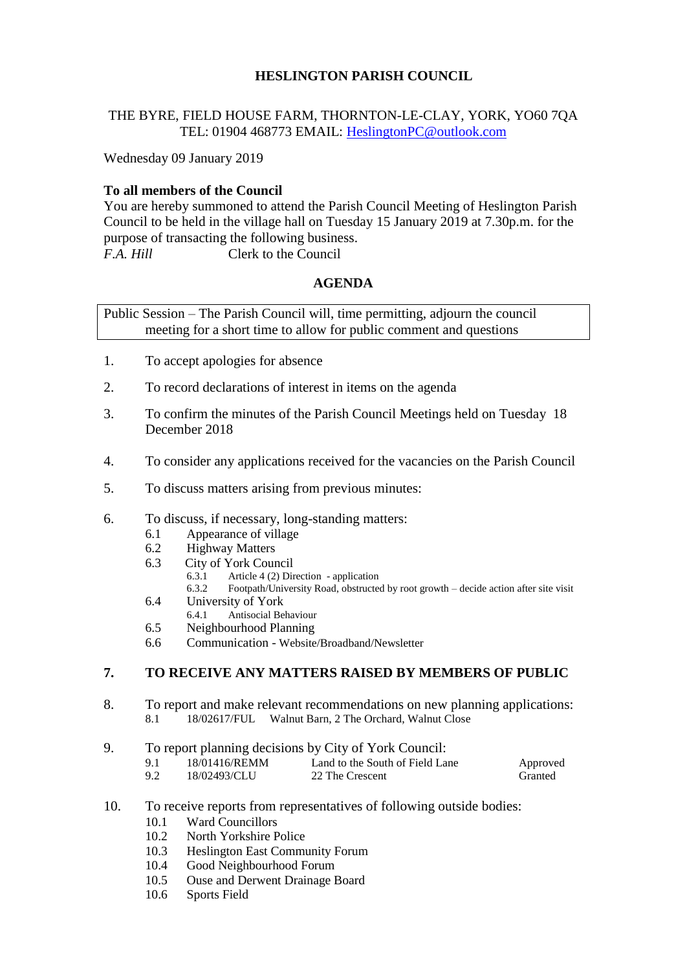# **HESLINGTON PARISH COUNCIL**

# THE BYRE, FIELD HOUSE FARM, THORNTON-LE-CLAY, YORK, YO60 7QA TEL: 01904 468773 EMAIL: [HeslingtonPC@outlook.com](mailto:HeslingtonPC@outlook.com)

Wednesday 09 January 2019

### **To all members of the Council**

You are hereby summoned to attend the Parish Council Meeting of Heslington Parish Council to be held in the village hall on Tuesday 15 January 2019 at 7.30p.m. for the purpose of transacting the following business. *F.A. Hill* Clerk to the Council

# **AGENDA**

Public Session – The Parish Council will, time permitting, adjourn the council meeting for a short time to allow for public comment and questions

- 1. To accept apologies for absence
- 2. To record declarations of interest in items on the agenda
- 3. To confirm the minutes of the Parish Council Meetings held on Tuesday 18 December 2018
- 4. To consider any applications received for the vacancies on the Parish Council
- 5. To discuss matters arising from previous minutes:
- 6. To discuss, if necessary, long-standing matters:
	- 6.1 Appearance of village
	- 6.2 Highway Matters
	- 6.3 City of York Council<br>6.3.1 Article 4 (2) Dir
		- 6.3.1 Article 4 (2) Direction application<br>6.3.2 Eootpath/Hniversity Road obstructe
			- Footpath/University Road, obstructed by root growth decide action after site visit
	- 6.4 University of York
		- 6.4.1 Antisocial Behaviour
	- 6.5 Neighbourhood Planning
	- 6.6 Communication Website/Broadband/Newsletter

# **7. TO RECEIVE ANY MATTERS RAISED BY MEMBERS OF PUBLIC**

- 8. To report and make relevant recommendations on new planning applications: 8.1 18/02617/FUL Walnut Barn, 2 The Orchard, Walnut Close
- 9. To report planning decisions by City of York Council:
	- 9.1 18/01416/REMM Land to the South of Field Lane Approved<br>9.2 18/02493/CLU 22 The Crescent Granted 22 The Crescent
- 10. To receive reports from representatives of following outside bodies:
	- 10.1 Ward Councillors
	- 10.2 North Yorkshire Police
	- 10.3 Heslington East Community Forum
	- 10.4 Good Neighbourhood Forum
	- 10.5 Ouse and Derwent Drainage Board
	- 10.6 Sports Field